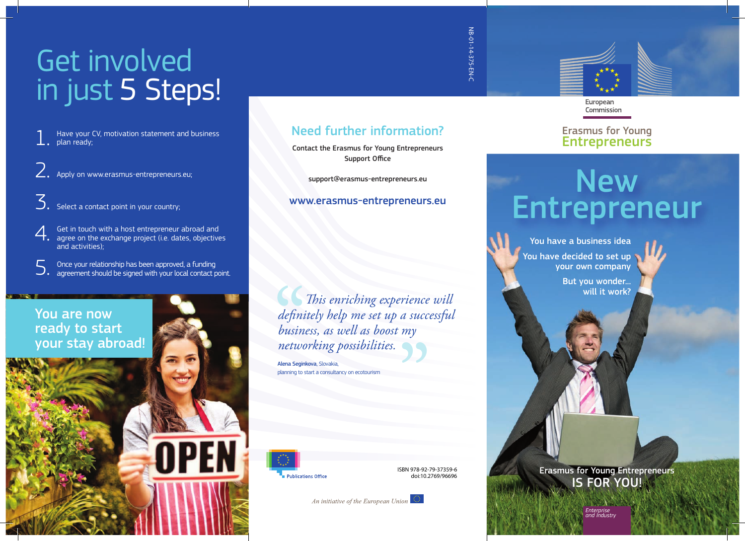# Get involved in just 5 Steps!

- Have your CV, motivation statement and business plan ready; 1.
- Apply on www.erasmus-entrepreneurs.eu; 2.
- $\overline{\mathcal{S}}$ . Select a contact point in your country;
- Get in touch with a host entrepreneur abroad and 4. Get in touch with a host entrepreneur abroad and<br>agree on the exchange project (i.e. dates, objectives<br>and astivities). and activities)<sup>.</sup>
- Once your relationship has been approved, a funding  $\mathcal{S}.$  Once your relationship has been approved, a funding agreement should be signed with your local contact point.



#### Need further information?

Contact the Erasmus for Young Entrepreneurs Support Office

support@erasmus-entrepreneurs.eu

#### www.erasmus-entrepreneurs.eu

 $\blacksquare$  *This enriching experience will de nitely help me set up a successful business, as well as boost my networking possibilities.* defini<br>defini<br>busin<br>netwo erience<br>a succ<br>my<br>**DD** 

Alena Seginkova, Slovakia planning to start a consultancy on ecotouris



ISBN 978-92-79-37359-6 doi:10.2769/96696

An initiative of the European Union

NB-01-14-375-EN-C NB-01-14-375-EN-C



European Commission

#### Erasmus for Young **Entrepreneurs**

## **New** Entrepreneur

 You have a business idea You have decided to set up your own company

But you wonder... will it work?

Erasmus for Young Entrepreneurs IS FOR YOU!

> *Enterprise and Industry*